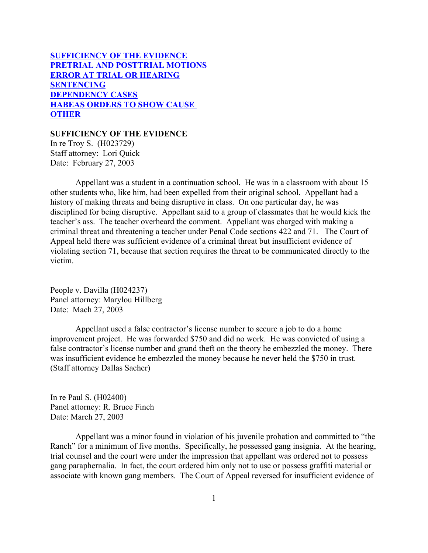# **SUFFICIENCY OF THE EVIDENCE [PRETRIAL AND POSTTRIAL MOTIONS](#page-2-0) [ERROR AT TRIAL OR HEARING](#page-4-0) [SENTENCING](#page-11-0) [DEPENDENCY CASES](#page-25-0) [HABEAS ORDERS TO SHOW CAUSE](#page-27-0)  [OTHER](#page-30-0)**

## **SUFFICIENCY OF THE EVIDENCE**

In re Troy S. (H023729) Staff attorney: Lori Quick Date: February 27, 2003

Appellant was a student in a continuation school. He was in a classroom with about 15 other students who, like him, had been expelled from their original school. Appellant had a history of making threats and being disruptive in class. On one particular day, he was disciplined for being disruptive. Appellant said to a group of classmates that he would kick the teacher's ass. The teacher overheard the comment. Appellant was charged with making a criminal threat and threatening a teacher under Penal Code sections 422 and 71. The Court of Appeal held there was sufficient evidence of a criminal threat but insufficient evidence of violating section 71, because that section requires the threat to be communicated directly to the victim.

People v. Davilla (H024237) Panel attorney: Marylou Hillberg Date: Mach 27, 2003

Appellant used a false contractor's license number to secure a job to do a home improvement project. He was forwarded \$750 and did no work. He was convicted of using a false contractor's license number and grand theft on the theory he embezzled the money. There was insufficient evidence he embezzled the money because he never held the \$750 in trust. (Staff attorney Dallas Sacher)

In re Paul S. (H02400) Panel attorney: R. Bruce Finch Date: March 27, 2003

Appellant was a minor found in violation of his juvenile probation and committed to "the Ranch" for a minimum of five months. Specifically, he possessed gang insignia. At the hearing, trial counsel and the court were under the impression that appellant was ordered not to possess gang paraphernalia. In fact, the court ordered him only not to use or possess graffiti material or associate with known gang members. The Court of Appeal reversed for insufficient evidence of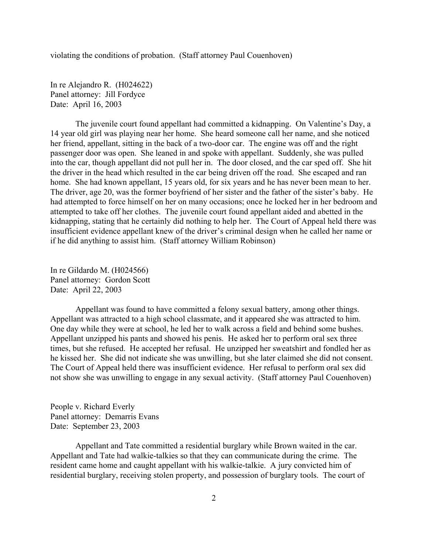violating the conditions of probation. (Staff attorney Paul Couenhoven)

In re Alejandro R. (H024622) Panel attorney: Jill Fordyce Date: April 16, 2003

The juvenile court found appellant had committed a kidnapping. On Valentine's Day, a 14 year old girl was playing near her home. She heard someone call her name, and she noticed her friend, appellant, sitting in the back of a two-door car. The engine was off and the right passenger door was open. She leaned in and spoke with appellant. Suddenly, she was pulled into the car, though appellant did not pull her in. The door closed, and the car sped off. She hit the driver in the head which resulted in the car being driven off the road. She escaped and ran home. She had known appellant, 15 years old, for six years and he has never been mean to her. The driver, age 20, was the former boyfriend of her sister and the father of the sister's baby. He had attempted to force himself on her on many occasions; once he locked her in her bedroom and attempted to take off her clothes. The juvenile court found appellant aided and abetted in the kidnapping, stating that he certainly did nothing to help her. The Court of Appeal held there was insufficient evidence appellant knew of the driver's criminal design when he called her name or if he did anything to assist him. (Staff attorney William Robinson)

In re Gildardo M. (H024566) Panel attorney: Gordon Scott Date: April 22, 2003

Appellant was found to have committed a felony sexual battery, among other things. Appellant was attracted to a high school classmate, and it appeared she was attracted to him. One day while they were at school, he led her to walk across a field and behind some bushes. Appellant unzipped his pants and showed his penis. He asked her to perform oral sex three times, but she refused. He accepted her refusal. He unzipped her sweatshirt and fondled her as he kissed her. She did not indicate she was unwilling, but she later claimed she did not consent. The Court of Appeal held there was insufficient evidence. Her refusal to perform oral sex did not show she was unwilling to engage in any sexual activity. (Staff attorney Paul Couenhoven)

People v. Richard Everly Panel attorney: Demarris Evans Date: September 23, 2003

Appellant and Tate committed a residential burglary while Brown waited in the car. Appellant and Tate had walkie-talkies so that they can communicate during the crime. The resident came home and caught appellant with his walkie-talkie. A jury convicted him of residential burglary, receiving stolen property, and possession of burglary tools. The court of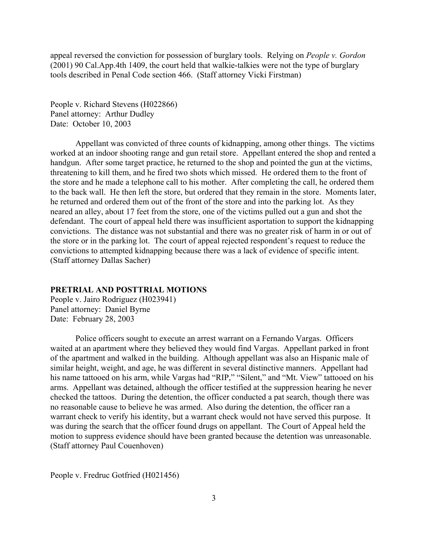<span id="page-2-0"></span>appeal reversed the conviction for possession of burglary tools. Relying on *People v. Gordon* (2001) 90 Cal.App.4th 1409, the court held that walkie-talkies were not the type of burglary tools described in Penal Code section 466. (Staff attorney Vicki Firstman)

People v. Richard Stevens (H022866) Panel attorney: Arthur Dudley Date: October 10, 2003

Appellant was convicted of three counts of kidnapping, among other things. The victims worked at an indoor shooting range and gun retail store. Appellant entered the shop and rented a handgun. After some target practice, he returned to the shop and pointed the gun at the victims, threatening to kill them, and he fired two shots which missed. He ordered them to the front of the store and he made a telephone call to his mother. After completing the call, he ordered them to the back wall. He then left the store, but ordered that they remain in the store. Moments later, he returned and ordered them out of the front of the store and into the parking lot. As they neared an alley, about 17 feet from the store, one of the victims pulled out a gun and shot the defendant. The court of appeal held there was insufficient asportation to support the kidnapping convictions. The distance was not substantial and there was no greater risk of harm in or out of the store or in the parking lot. The court of appeal rejected respondent's request to reduce the convictions to attempted kidnapping because there was a lack of evidence of specific intent. (Staff attorney Dallas Sacher)

#### **PRETRIAL AND POSTTRIAL MOTIONS**

People v. Jairo Rodriguez (H023941) Panel attorney: Daniel Byrne Date: February 28, 2003

Police officers sought to execute an arrest warrant on a Fernando Vargas. Officers waited at an apartment where they believed they would find Vargas. Appellant parked in front of the apartment and walked in the building. Although appellant was also an Hispanic male of similar height, weight, and age, he was different in several distinctive manners. Appellant had his name tattooed on his arm, while Vargas had "RIP," "Silent," and "Mt. View" tattooed on his arms. Appellant was detained, although the officer testified at the suppression hearing he never checked the tattoos. During the detention, the officer conducted a pat search, though there was no reasonable cause to believe he was armed. Also during the detention, the officer ran a warrant check to verify his identity, but a warrant check would not have served this purpose. It was during the search that the officer found drugs on appellant. The Court of Appeal held the motion to suppress evidence should have been granted because the detention was unreasonable. (Staff attorney Paul Couenhoven)

People v. Fredruc Gotfried (H021456)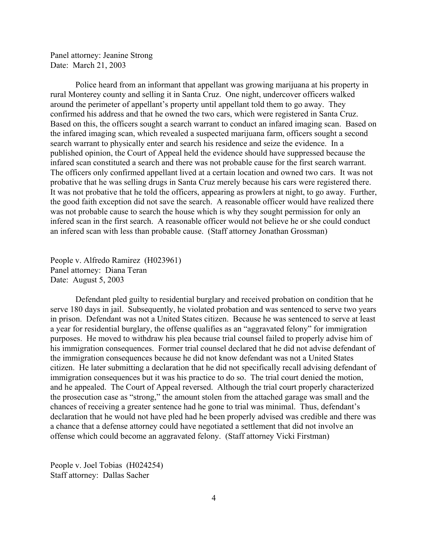Panel attorney: Jeanine Strong Date: March 21, 2003

Police heard from an informant that appellant was growing marijuana at his property in rural Monterey county and selling it in Santa Cruz. One night, undercover officers walked around the perimeter of appellant's property until appellant told them to go away. They confirmed his address and that he owned the two cars, which were registered in Santa Cruz. Based on this, the officers sought a search warrant to conduct an infared imaging scan. Based on the infared imaging scan, which revealed a suspected marijuana farm, officers sought a second search warrant to physically enter and search his residence and seize the evidence. In a published opinion, the Court of Appeal held the evidence should have suppressed because the infared scan constituted a search and there was not probable cause for the first search warrant. The officers only confirmed appellant lived at a certain location and owned two cars. It was not probative that he was selling drugs in Santa Cruz merely because his cars were registered there. It was not probative that he told the officers, appearing as prowlers at night, to go away. Further, the good faith exception did not save the search. A reasonable officer would have realized there was not probable cause to search the house which is why they sought permission for only an infered scan in the first search. A reasonable officer would not believe he or she could conduct an infered scan with less than probable cause. (Staff attorney Jonathan Grossman)

People v. Alfredo Ramirez (H023961) Panel attorney: Diana Teran Date: August 5, 2003

Defendant pled guilty to residential burglary and received probation on condition that he serve 180 days in jail. Subsequently, he violated probation and was sentenced to serve two years in prison. Defendant was not a United States citizen. Because he was sentenced to serve at least a year for residential burglary, the offense qualifies as an "aggravated felony" for immigration purposes. He moved to withdraw his plea because trial counsel failed to properly advise him of his immigration consequences. Former trial counsel declared that he did not advise defendant of the immigration consequences because he did not know defendant was not a United States citizen. He later submitting a declaration that he did not specifically recall advising defendant of immigration consequences but it was his practice to do so. The trial court denied the motion, and he appealed. The Court of Appeal reversed. Although the trial court properly characterized the prosecution case as "strong," the amount stolen from the attached garage was small and the chances of receiving a greater sentence had he gone to trial was minimal. Thus, defendant's declaration that he would not have pled had he been properly advised was credible and there was a chance that a defense attorney could have negotiated a settlement that did not involve an offense which could become an aggravated felony. (Staff attorney Vicki Firstman)

People v. Joel Tobias (H024254) Staff attorney: Dallas Sacher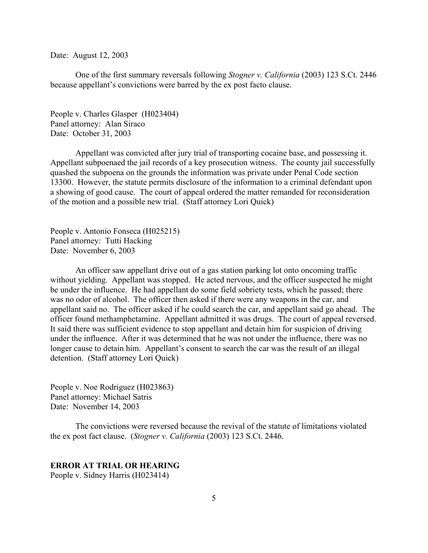<span id="page-4-0"></span>Date: August 12, 2003

One of the first summary reversals following *Stogner v. California* (2003) 123 S.Ct. 2446 because appellant's convictions were barred by the ex post facto clause.

People v. Charles Glasper (H023404) Panel attorney: Alan Siraco Date: October 31, 2003

Appellant was convicted after jury trial of transporting cocaine base, and possessing it. Appellant subpoenaed the jail records of a key prosecution witness. The county jail successfully quashed the subpoena on the grounds the information was private under Penal Code section 13300. However, the statute permits disclosure of the information to a criminal defendant upon a showing of good cause. The court of appeal ordered the matter remanded for reconsideration of the motion and a possible new trial. (Staff attorney Lori Quick)

People v. Antonio Fonseca (H025215) Panel attorney: Tutti Hacking Date: November 6, 2003

An officer saw appellant drive out of a gas station parking lot onto oncoming traffic without yielding. Appellant was stopped. He acted nervous, and the officer suspected he might be under the influence. He had appellant do some field sobriety tests, which he passed; there was no odor of alcohol. The officer then asked if there were any weapons in the car, and appellant said no. The officer asked if he could search the car, and appellant said go ahead. The officer found methamphetamine. Appellant admitted it was drugs. The court of appeal reversed. It said there was sufficient evidence to stop appellant and detain him for suspicion of driving under the influence. After it was determined that he was not under the influence, there was no longer cause to detain him. Appellant's consent to search the car was the result of an illegal detention. (Staff attorney Lori Quick)

People v. Noe Rodriguez (H023863) Panel attorney: Michael Satris Date: November 14, 2003

The convictions were reversed because the revival of the statute of limitations violated the ex post fact clause. (*Stogner v. California* (2003) 123 S.Ct. 2446.

## **ERROR AT TRIAL OR HEARING**

People v. Sidney Harris (H023414)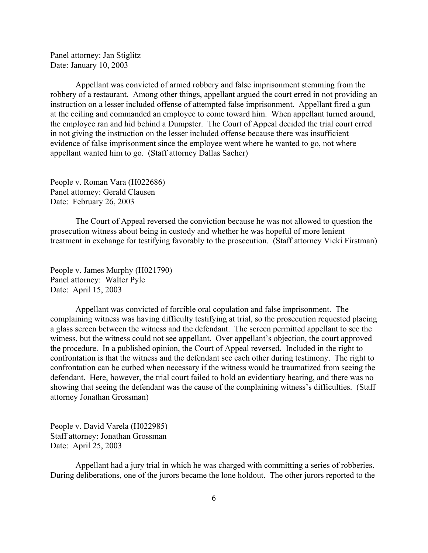Panel attorney: Jan Stiglitz Date: January 10, 2003

Appellant was convicted of armed robbery and false imprisonment stemming from the robbery of a restaurant. Among other things, appellant argued the court erred in not providing an instruction on a lesser included offense of attempted false imprisonment. Appellant fired a gun at the ceiling and commanded an employee to come toward him. When appellant turned around, the employee ran and hid behind a Dumpster. The Court of Appeal decided the trial court erred in not giving the instruction on the lesser included offense because there was insufficient evidence of false imprisonment since the employee went where he wanted to go, not where appellant wanted him to go. (Staff attorney Dallas Sacher)

People v. Roman Vara (H022686) Panel attorney: Gerald Clausen Date: February 26, 2003

The Court of Appeal reversed the conviction because he was not allowed to question the prosecution witness about being in custody and whether he was hopeful of more lenient treatment in exchange for testifying favorably to the prosecution. (Staff attorney Vicki Firstman)

People v. James Murphy (H021790) Panel attorney: Walter Pyle Date: April 15, 2003

Appellant was convicted of forcible oral copulation and false imprisonment. The complaining witness was having difficulty testifying at trial, so the prosecution requested placing a glass screen between the witness and the defendant. The screen permitted appellant to see the witness, but the witness could not see appellant. Over appellant's objection, the court approved the procedure. In a published opinion, the Court of Appeal reversed. Included in the right to confrontation is that the witness and the defendant see each other during testimony. The right to confrontation can be curbed when necessary if the witness would be traumatized from seeing the defendant. Here, however, the trial court failed to hold an evidentiary hearing, and there was no showing that seeing the defendant was the cause of the complaining witness's difficulties. (Staff attorney Jonathan Grossman)

People v. David Varela (H022985) Staff attorney: Jonathan Grossman Date: April 25, 2003

Appellant had a jury trial in which he was charged with committing a series of robberies. During deliberations, one of the jurors became the lone holdout. The other jurors reported to the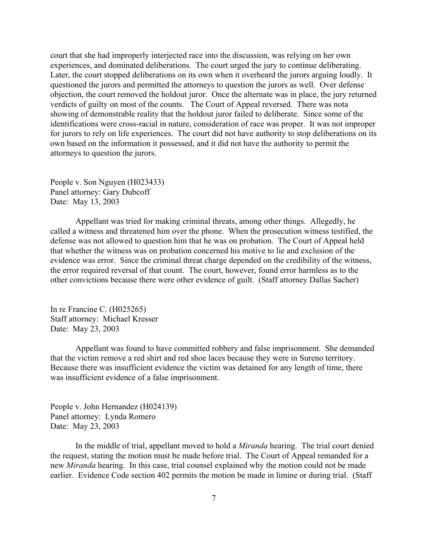court that she had improperly interjected race into the discussion, was relying on her own experiences, and dominated deliberations. The court urged the jury to continue deliberating. Later, the court stopped deliberations on its own when it overheard the jurors arguing loudly. It questioned the jurors and permitted the attorneys to question the jurors as well. Over defense objection, the court removed the holdout juror. Once the alternate was in place, the jury returned verdicts of guilty on most of the counts. The Court of Appeal reversed. There was nota showing of demonstrable reality that the holdout juror failed to deliberate. Since some of the identifications were cross-racial in nature, consideration of race was proper. It was not improper for jurors to rely on life experiences. The court did not have authority to stop deliberations on its own based on the information it possessed, and it did not have the authority to permit the attorneys to question the jurors.

People v. Son Nguyen (H023433) Panel attorney: Gary Dubcoff Date: May 13, 2003

Appellant was tried for making criminal threats, among other things. Allegedly, he called a witness and threatened him over the phone. When the prosecution witness testified, the defense was not allowed to question him that he was on probation. The Court of Appeal held that whether the witness was on probation concerned his motive to lie and exclusion of the evidence was error. Since the criminal threat charge depended on the credibility of the witness, the error required reversal of that count. The court, however, found error harmless as to the other convictions because there were other evidence of guilt. (Staff attorney Dallas Sacher)

In re Francine C. (H025265) Staff attorney: Michael Kresser Date: May 23, 2003

Appellant was found to have committed robbery and false imprisonment. She demanded that the victim remove a red shirt and red shoe laces because they were in Sureno territory. Because there was insufficient evidence the victim was detained for any length of time, there was insufficient evidence of a false imprisonment.

People v. John Hernandez (H024139) Panel attorney: Lynda Romero Date: May 23, 2003

In the middle of trial, appellant moved to hold a *Miranda* hearing. The trial court denied the request, stating the motion must be made before trial. The Court of Appeal remanded for a new *Miranda* hearing. In this case, trial counsel explained why the motion could not be made earlier. Evidence Code section 402 permits the motion be made in limine or during trial. (Staff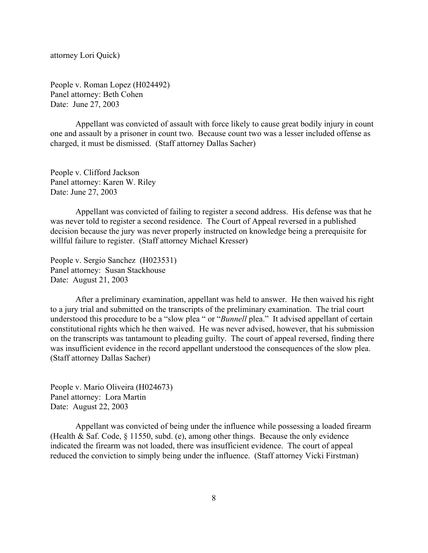attorney Lori Quick)

People v. Roman Lopez (H024492) Panel attorney: Beth Cohen Date: June 27, 2003

Appellant was convicted of assault with force likely to cause great bodily injury in count one and assault by a prisoner in count two. Because count two was a lesser included offense as charged, it must be dismissed. (Staff attorney Dallas Sacher)

People v. Clifford Jackson Panel attorney: Karen W. Riley Date: June 27, 2003

Appellant was convicted of failing to register a second address. His defense was that he was never told to register a second residence. The Court of Appeal reversed in a published decision because the jury was never properly instructed on knowledge being a prerequisite for willful failure to register. (Staff attorney Michael Kresser)

People v. Sergio Sanchez (H023531) Panel attorney: Susan Stackhouse Date: August 21, 2003

After a preliminary examination, appellant was held to answer. He then waived his right to a jury trial and submitted on the transcripts of the preliminary examination. The trial court understood this procedure to be a "slow plea " or "*Bunnell* plea." It advised appellant of certain constitutional rights which he then waived. He was never advised, however, that his submission on the transcripts was tantamount to pleading guilty. The court of appeal reversed, finding there was insufficient evidence in the record appellant understood the consequences of the slow plea. (Staff attorney Dallas Sacher)

People v. Mario Oliveira (H024673) Panel attorney: Lora Martin Date: August 22, 2003

Appellant was convicted of being under the influence while possessing a loaded firearm (Health & Saf. Code, § 11550, subd. (e), among other things. Because the only evidence indicated the firearm was not loaded, there was insufficient evidence. The court of appeal reduced the conviction to simply being under the influence. (Staff attorney Vicki Firstman)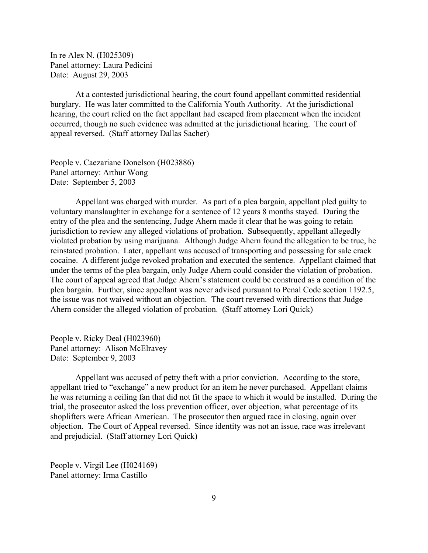In re Alex N. (H025309) Panel attorney: Laura Pedicini Date: August 29, 2003

At a contested jurisdictional hearing, the court found appellant committed residential burglary. He was later committed to the California Youth Authority. At the jurisdictional hearing, the court relied on the fact appellant had escaped from placement when the incident occurred, though no such evidence was admitted at the jurisdictional hearing. The court of appeal reversed. (Staff attorney Dallas Sacher)

People v. Caezariane Donelson (H023886) Panel attorney: Arthur Wong Date: September 5, 2003

Appellant was charged with murder. As part of a plea bargain, appellant pled guilty to voluntary manslaughter in exchange for a sentence of 12 years 8 months stayed. During the entry of the plea and the sentencing, Judge Ahern made it clear that he was going to retain jurisdiction to review any alleged violations of probation. Subsequently, appellant allegedly violated probation by using marijuana. Although Judge Ahern found the allegation to be true, he reinstated probation. Later, appellant was accused of transporting and possessing for sale crack cocaine. A different judge revoked probation and executed the sentence. Appellant claimed that under the terms of the plea bargain, only Judge Ahern could consider the violation of probation. The court of appeal agreed that Judge Ahern's statement could be construed as a condition of the plea bargain. Further, since appellant was never advised pursuant to Penal Code section 1192.5, the issue was not waived without an objection. The court reversed with directions that Judge Ahern consider the alleged violation of probation. (Staff attorney Lori Quick)

People v. Ricky Deal (H023960) Panel attorney: Alison McElravey Date: September 9, 2003

Appellant was accused of petty theft with a prior conviction. According to the store, appellant tried to "exchange" a new product for an item he never purchased. Appellant claims he was returning a ceiling fan that did not fit the space to which it would be installed. During the trial, the prosecutor asked the loss prevention officer, over objection, what percentage of its shoplifters were African American. The prosecutor then argued race in closing, again over objection. The Court of Appeal reversed. Since identity was not an issue, race was irrelevant and prejudicial. (Staff attorney Lori Quick)

People v. Virgil Lee (H024169) Panel attorney: Irma Castillo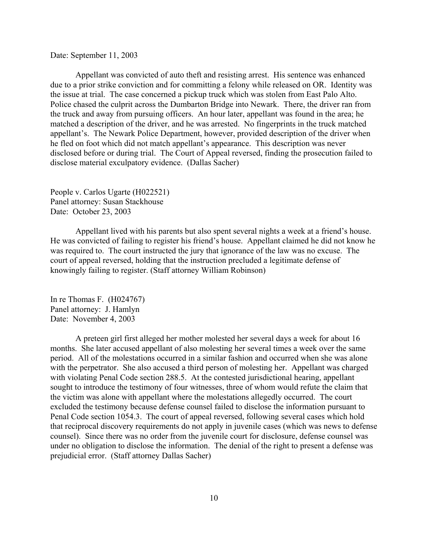Date: September 11, 2003

Appellant was convicted of auto theft and resisting arrest. His sentence was enhanced due to a prior strike conviction and for committing a felony while released on OR. Identity was the issue at trial. The case concerned a pickup truck which was stolen from East Palo Alto. Police chased the culprit across the Dumbarton Bridge into Newark. There, the driver ran from the truck and away from pursuing officers. An hour later, appellant was found in the area; he matched a description of the driver, and he was arrested. No fingerprints in the truck matched appellant's. The Newark Police Department, however, provided description of the driver when he fled on foot which did not match appellant's appearance. This description was never disclosed before or during trial. The Court of Appeal reversed, finding the prosecution failed to disclose material exculpatory evidence. (Dallas Sacher)

People v. Carlos Ugarte (H022521) Panel attorney: Susan Stackhouse Date: October 23, 2003

Appellant lived with his parents but also spent several nights a week at a friend's house. He was convicted of failing to register his friend's house. Appellant claimed he did not know he was required to. The court instructed the jury that ignorance of the law was no excuse. The court of appeal reversed, holding that the instruction precluded a legitimate defense of knowingly failing to register. (Staff attorney William Robinson)

In re Thomas F. (H024767) Panel attorney: J. Hamlyn Date: November 4, 2003

A preteen girl first alleged her mother molested her several days a week for about 16 months. She later accused appellant of also molesting her several times a week over the same period. All of the molestations occurred in a similar fashion and occurred when she was alone with the perpetrator. She also accused a third person of molesting her. Appellant was charged with violating Penal Code section 288.5. At the contested jurisdictional hearing, appellant sought to introduce the testimony of four witnesses, three of whom would refute the claim that the victim was alone with appellant where the molestations allegedly occurred. The court excluded the testimony because defense counsel failed to disclose the information pursuant to Penal Code section 1054.3. The court of appeal reversed, following several cases which hold that reciprocal discovery requirements do not apply in juvenile cases (which was news to defense counsel). Since there was no order from the juvenile court for disclosure, defense counsel was under no obligation to disclose the information. The denial of the right to present a defense was prejudicial error. (Staff attorney Dallas Sacher)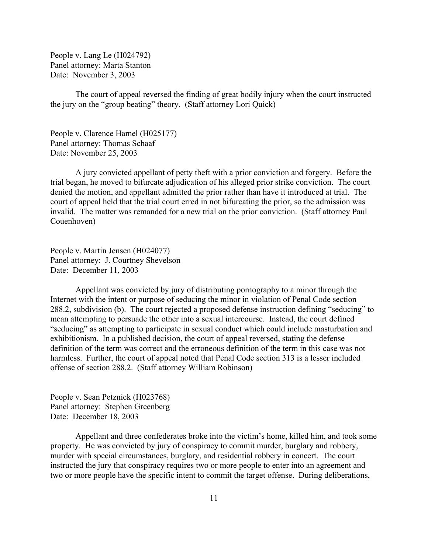People v. Lang Le (H024792) Panel attorney: Marta Stanton Date: November 3, 2003

The court of appeal reversed the finding of great bodily injury when the court instructed the jury on the "group beating" theory. (Staff attorney Lori Quick)

People v. Clarence Hamel (H025177) Panel attorney: Thomas Schaaf Date: November 25, 2003

A jury convicted appellant of petty theft with a prior conviction and forgery. Before the trial began, he moved to bifurcate adjudication of his alleged prior strike conviction. The court denied the motion, and appellant admitted the prior rather than have it introduced at trial. The court of appeal held that the trial court erred in not bifurcating the prior, so the admission was invalid. The matter was remanded for a new trial on the prior conviction. (Staff attorney Paul Couenhoven)

People v. Martin Jensen (H024077) Panel attorney: J. Courtney Shevelson Date: December 11, 2003

Appellant was convicted by jury of distributing pornography to a minor through the Internet with the intent or purpose of seducing the minor in violation of Penal Code section 288.2, subdivision (b). The court rejected a proposed defense instruction defining "seducing" to mean attempting to persuade the other into a sexual intercourse. Instead, the court defined "seducing" as attempting to participate in sexual conduct which could include masturbation and exhibitionism. In a published decision, the court of appeal reversed, stating the defense definition of the term was correct and the erroneous definition of the term in this case was not harmless. Further, the court of appeal noted that Penal Code section 313 is a lesser included offense of section 288.2. (Staff attorney William Robinson)

People v. Sean Petznick (H023768) Panel attorney: Stephen Greenberg Date: December 18, 2003

Appellant and three confederates broke into the victim's home, killed him, and took some property. He was convicted by jury of conspiracy to commit murder, burglary and robbery, murder with special circumstances, burglary, and residential robbery in concert. The court instructed the jury that conspiracy requires two or more people to enter into an agreement and two or more people have the specific intent to commit the target offense. During deliberations,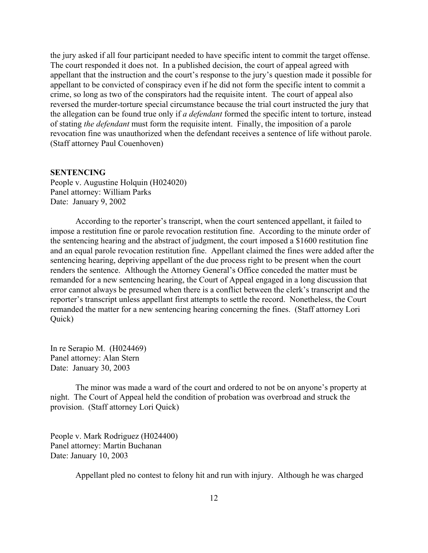<span id="page-11-0"></span>the jury asked if all four participant needed to have specific intent to commit the target offense. The court responded it does not. In a published decision, the court of appeal agreed with appellant that the instruction and the court's response to the jury's question made it possible for appellant to be convicted of conspiracy even if he did not form the specific intent to commit a crime, so long as two of the conspirators had the requisite intent. The court of appeal also reversed the murder-torture special circumstance because the trial court instructed the jury that the allegation can be found true only if *a defendant* formed the specific intent to torture, instead of stating *the defendant* must form the requisite intent. Finally, the imposition of a parole revocation fine was unauthorized when the defendant receives a sentence of life without parole. (Staff attorney Paul Couenhoven)

#### **SENTENCING**

People v. Augustine Holquin (H024020) Panel attorney: William Parks Date: January 9, 2002

According to the reporter's transcript, when the court sentenced appellant, it failed to impose a restitution fine or parole revocation restitution fine. According to the minute order of the sentencing hearing and the abstract of judgment, the court imposed a \$1600 restitution fine and an equal parole revocation restitution fine. Appellant claimed the fines were added after the sentencing hearing, depriving appellant of the due process right to be present when the court renders the sentence. Although the Attorney General's Office conceded the matter must be remanded for a new sentencing hearing, the Court of Appeal engaged in a long discussion that error cannot always be presumed when there is a conflict between the clerk's transcript and the reporter's transcript unless appellant first attempts to settle the record. Nonetheless, the Court remanded the matter for a new sentencing hearing concerning the fines. (Staff attorney Lori Quick)

In re Serapio M. (H024469) Panel attorney: Alan Stern Date: January 30, 2003

The minor was made a ward of the court and ordered to not be on anyone's property at night. The Court of Appeal held the condition of probation was overbroad and struck the provision. (Staff attorney Lori Quick)

People v. Mark Rodriguez (H024400) Panel attorney: Martin Buchanan Date: January 10, 2003

Appellant pled no contest to felony hit and run with injury. Although he was charged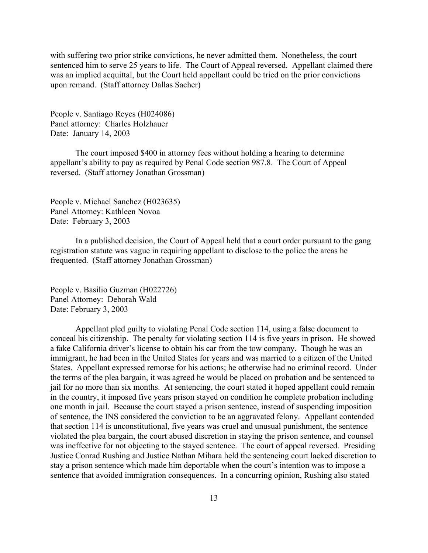with suffering two prior strike convictions, he never admitted them. Nonetheless, the court sentenced him to serve 25 years to life. The Court of Appeal reversed. Appellant claimed there was an implied acquittal, but the Court held appellant could be tried on the prior convictions upon remand. (Staff attorney Dallas Sacher)

People v. Santiago Reyes (H024086) Panel attorney: Charles Holzhauer Date: January 14, 2003

The court imposed \$400 in attorney fees without holding a hearing to determine appellant's ability to pay as required by Penal Code section 987.8. The Court of Appeal reversed. (Staff attorney Jonathan Grossman)

People v. Michael Sanchez (H023635) Panel Attorney: Kathleen Novoa Date: February 3, 2003

In a published decision, the Court of Appeal held that a court order pursuant to the gang registration statute was vague in requiring appellant to disclose to the police the areas he frequented. (Staff attorney Jonathan Grossman)

People v. Basilio Guzman (H022726) Panel Attorney: Deborah Wald Date: February 3, 2003

Appellant pled guilty to violating Penal Code section 114, using a false document to conceal his citizenship. The penalty for violating section 114 is five years in prison. He showed a fake California driver's license to obtain his car from the tow company. Though he was an immigrant, he had been in the United States for years and was married to a citizen of the United States. Appellant expressed remorse for his actions; he otherwise had no criminal record. Under the terms of the plea bargain, it was agreed he would be placed on probation and be sentenced to jail for no more than six months. At sentencing, the court stated it hoped appellant could remain in the country, it imposed five years prison stayed on condition he complete probation including one month in jail. Because the court stayed a prison sentence, instead of suspending imposition of sentence, the INS considered the conviction to be an aggravated felony. Appellant contended that section 114 is unconstitutional, five years was cruel and unusual punishment, the sentence violated the plea bargain, the court abused discretion in staying the prison sentence, and counsel was ineffective for not objecting to the stayed sentence. The court of appeal reversed. Presiding Justice Conrad Rushing and Justice Nathan Mihara held the sentencing court lacked discretion to stay a prison sentence which made him deportable when the court's intention was to impose a sentence that avoided immigration consequences. In a concurring opinion, Rushing also stated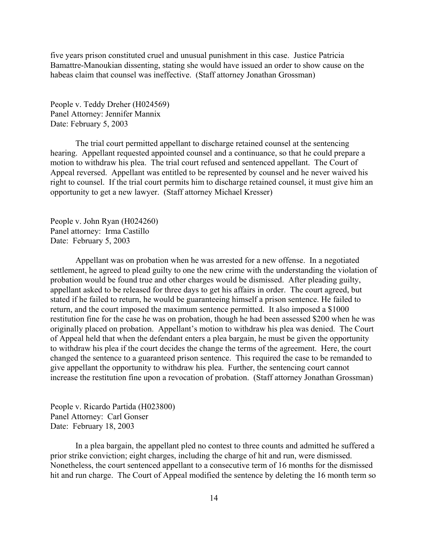five years prison constituted cruel and unusual punishment in this case. Justice Patricia Bamattre-Manoukian dissenting, stating she would have issued an order to show cause on the habeas claim that counsel was ineffective. (Staff attorney Jonathan Grossman)

People v. Teddy Dreher (H024569) Panel Attorney: Jennifer Mannix Date: February 5, 2003

The trial court permitted appellant to discharge retained counsel at the sentencing hearing. Appellant requested appointed counsel and a continuance, so that he could prepare a motion to withdraw his plea. The trial court refused and sentenced appellant. The Court of Appeal reversed. Appellant was entitled to be represented by counsel and he never waived his right to counsel. If the trial court permits him to discharge retained counsel, it must give him an opportunity to get a new lawyer. (Staff attorney Michael Kresser)

People v. John Ryan (H024260) Panel attorney: Irma Castillo Date: February 5, 2003

Appellant was on probation when he was arrested for a new offense. In a negotiated settlement, he agreed to plead guilty to one the new crime with the understanding the violation of probation would be found true and other charges would be dismissed. After pleading guilty, appellant asked to be released for three days to get his affairs in order. The court agreed, but stated if he failed to return, he would be guaranteeing himself a prison sentence. He failed to return, and the court imposed the maximum sentence permitted. It also imposed a \$1000 restitution fine for the case he was on probation, though he had been assessed \$200 when he was originally placed on probation. Appellant's motion to withdraw his plea was denied. The Court of Appeal held that when the defendant enters a plea bargain, he must be given the opportunity to withdraw his plea if the court decides the change the terms of the agreement. Here, the court changed the sentence to a guaranteed prison sentence. This required the case to be remanded to give appellant the opportunity to withdraw his plea. Further, the sentencing court cannot increase the restitution fine upon a revocation of probation. (Staff attorney Jonathan Grossman)

People v. Ricardo Partida (H023800) Panel Attorney: Carl Gonser Date: February 18, 2003

In a plea bargain, the appellant pled no contest to three counts and admitted he suffered a prior strike conviction; eight charges, including the charge of hit and run, were dismissed. Nonetheless, the court sentenced appellant to a consecutive term of 16 months for the dismissed hit and run charge. The Court of Appeal modified the sentence by deleting the 16 month term so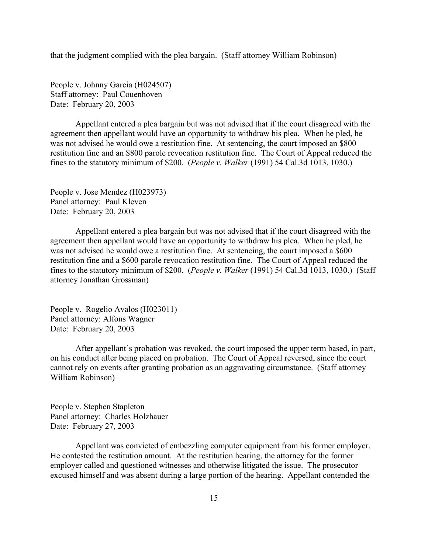that the judgment complied with the plea bargain. (Staff attorney William Robinson)

People v. Johnny Garcia (H024507) Staff attorney: Paul Couenhoven Date: February 20, 2003

Appellant entered a plea bargain but was not advised that if the court disagreed with the agreement then appellant would have an opportunity to withdraw his plea. When he pled, he was not advised he would owe a restitution fine. At sentencing, the court imposed an \$800 restitution fine and an \$800 parole revocation restitution fine. The Court of Appeal reduced the fines to the statutory minimum of \$200. (*People v. Walker* (1991) 54 Cal.3d 1013, 1030.)

People v. Jose Mendez (H023973) Panel attorney: Paul Kleven Date: February 20, 2003

Appellant entered a plea bargain but was not advised that if the court disagreed with the agreement then appellant would have an opportunity to withdraw his plea. When he pled, he was not advised he would owe a restitution fine. At sentencing, the court imposed a \$600 restitution fine and a \$600 parole revocation restitution fine. The Court of Appeal reduced the fines to the statutory minimum of \$200. (*People v. Walker* (1991) 54 Cal.3d 1013, 1030.) (Staff attorney Jonathan Grossman)

People v. Rogelio Avalos (H023011) Panel attorney: Alfons Wagner Date: February 20, 2003

After appellant's probation was revoked, the court imposed the upper term based, in part, on his conduct after being placed on probation. The Court of Appeal reversed, since the court cannot rely on events after granting probation as an aggravating circumstance. (Staff attorney William Robinson)

People v. Stephen Stapleton Panel attorney: Charles Holzhauer Date: February 27, 2003

Appellant was convicted of embezzling computer equipment from his former employer. He contested the restitution amount. At the restitution hearing, the attorney for the former employer called and questioned witnesses and otherwise litigated the issue. The prosecutor excused himself and was absent during a large portion of the hearing. Appellant contended the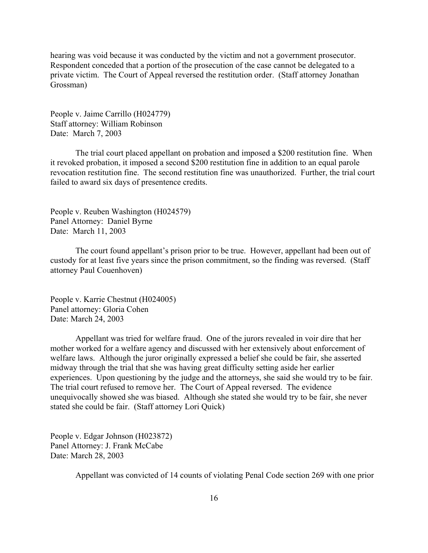hearing was void because it was conducted by the victim and not a government prosecutor. Respondent conceded that a portion of the prosecution of the case cannot be delegated to a private victim. The Court of Appeal reversed the restitution order. (Staff attorney Jonathan Grossman)

People v. Jaime Carrillo (H024779) Staff attorney: William Robinson Date: March 7, 2003

The trial court placed appellant on probation and imposed a \$200 restitution fine. When it revoked probation, it imposed a second \$200 restitution fine in addition to an equal parole revocation restitution fine. The second restitution fine was unauthorized. Further, the trial court failed to award six days of presentence credits.

People v. Reuben Washington (H024579) Panel Attorney: Daniel Byrne Date: March 11, 2003

The court found appellant's prison prior to be true. However, appellant had been out of custody for at least five years since the prison commitment, so the finding was reversed. (Staff attorney Paul Couenhoven)

People v. Karrie Chestnut (H024005) Panel attorney: Gloria Cohen Date: March 24, 2003

Appellant was tried for welfare fraud. One of the jurors revealed in voir dire that her mother worked for a welfare agency and discussed with her extensively about enforcement of welfare laws. Although the juror originally expressed a belief she could be fair, she asserted midway through the trial that she was having great difficulty setting aside her earlier experiences. Upon questioning by the judge and the attorneys, she said she would try to be fair. The trial court refused to remove her. The Court of Appeal reversed. The evidence unequivocally showed she was biased. Although she stated she would try to be fair, she never stated she could be fair. (Staff attorney Lori Quick)

People v. Edgar Johnson (H023872) Panel Attorney: J. Frank McCabe Date: March 28, 2003

Appellant was convicted of 14 counts of violating Penal Code section 269 with one prior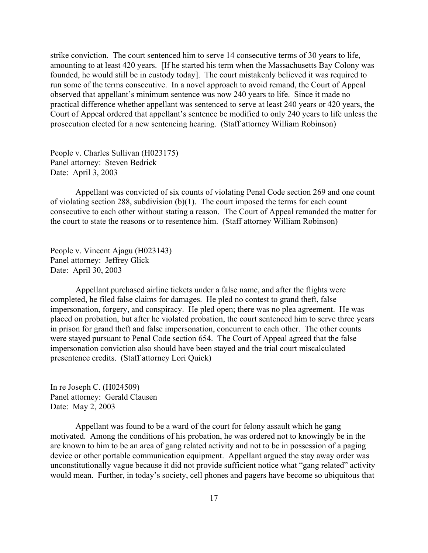strike conviction. The court sentenced him to serve 14 consecutive terms of 30 years to life, amounting to at least 420 years. [If he started his term when the Massachusetts Bay Colony was founded, he would still be in custody today]. The court mistakenly believed it was required to run some of the terms consecutive. In a novel approach to avoid remand, the Court of Appeal observed that appellant's minimum sentence was now 240 years to life. Since it made no practical difference whether appellant was sentenced to serve at least 240 years or 420 years, the Court of Appeal ordered that appellant's sentence be modified to only 240 years to life unless the prosecution elected for a new sentencing hearing. (Staff attorney William Robinson)

People v. Charles Sullivan (H023175) Panel attorney: Steven Bedrick Date: April 3, 2003

Appellant was convicted of six counts of violating Penal Code section 269 and one count of violating section 288, subdivision (b)(1). The court imposed the terms for each count consecutive to each other without stating a reason. The Court of Appeal remanded the matter for the court to state the reasons or to resentence him. (Staff attorney William Robinson)

People v. Vincent Ajagu (H023143) Panel attorney: Jeffrey Glick Date: April 30, 2003

Appellant purchased airline tickets under a false name, and after the flights were completed, he filed false claims for damages. He pled no contest to grand theft, false impersonation, forgery, and conspiracy. He pled open; there was no plea agreement. He was placed on probation, but after he violated probation, the court sentenced him to serve three years in prison for grand theft and false impersonation, concurrent to each other. The other counts were stayed pursuant to Penal Code section 654. The Court of Appeal agreed that the false impersonation conviction also should have been stayed and the trial court miscalculated presentence credits. (Staff attorney Lori Quick)

In re Joseph C. (H024509) Panel attorney: Gerald Clausen Date: May 2, 2003

Appellant was found to be a ward of the court for felony assault which he gang motivated. Among the conditions of his probation, he was ordered not to knowingly be in the are known to him to be an area of gang related activity and not to be in possession of a paging device or other portable communication equipment. Appellant argued the stay away order was unconstitutionally vague because it did not provide sufficient notice what "gang related" activity would mean. Further, in today's society, cell phones and pagers have become so ubiquitous that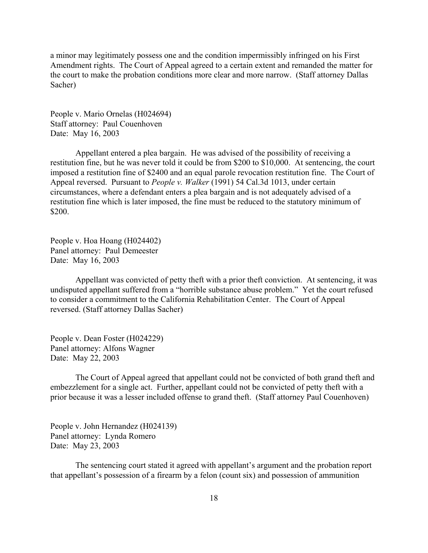a minor may legitimately possess one and the condition impermissibly infringed on his First Amendment rights. The Court of Appeal agreed to a certain extent and remanded the matter for the court to make the probation conditions more clear and more narrow. (Staff attorney Dallas Sacher)

People v. Mario Ornelas (H024694) Staff attorney: Paul Couenhoven Date: May 16, 2003

Appellant entered a plea bargain. He was advised of the possibility of receiving a restitution fine, but he was never told it could be from \$200 to \$10,000. At sentencing, the court imposed a restitution fine of \$2400 and an equal parole revocation restitution fine. The Court of Appeal reversed. Pursuant to *People v. Walker* (1991) 54 Cal.3d 1013, under certain circumstances, where a defendant enters a plea bargain and is not adequately advised of a restitution fine which is later imposed, the fine must be reduced to the statutory minimum of \$200.

People v. Hoa Hoang (H024402) Panel attorney: Paul Demeester Date: May 16, 2003

Appellant was convicted of petty theft with a prior theft conviction. At sentencing, it was undisputed appellant suffered from a "horrible substance abuse problem." Yet the court refused to consider a commitment to the California Rehabilitation Center. The Court of Appeal reversed. (Staff attorney Dallas Sacher)

People v. Dean Foster (H024229) Panel attorney: Alfons Wagner Date: May 22, 2003

The Court of Appeal agreed that appellant could not be convicted of both grand theft and embezzlement for a single act. Further, appellant could not be convicted of petty theft with a prior because it was a lesser included offense to grand theft. (Staff attorney Paul Couenhoven)

People v. John Hernandez (H024139) Panel attorney: Lynda Romero Date: May 23, 2003

The sentencing court stated it agreed with appellant's argument and the probation report that appellant's possession of a firearm by a felon (count six) and possession of ammunition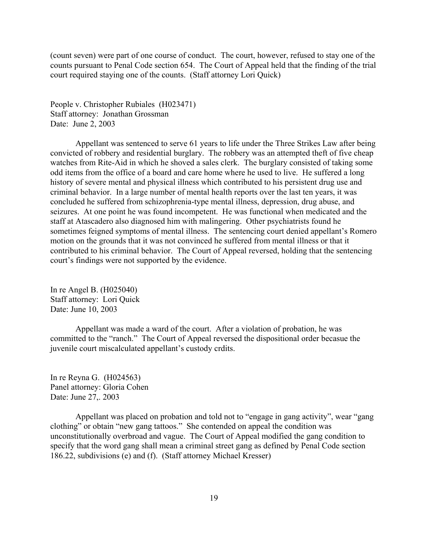(count seven) were part of one course of conduct. The court, however, refused to stay one of the counts pursuant to Penal Code section 654. The Court of Appeal held that the finding of the trial court required staying one of the counts. (Staff attorney Lori Quick)

People v. Christopher Rubiales (H023471) Staff attorney: Jonathan Grossman Date: June 2, 2003

Appellant was sentenced to serve 61 years to life under the Three Strikes Law after being convicted of robbery and residential burglary. The robbery was an attempted theft of five cheap watches from Rite-Aid in which he shoved a sales clerk. The burglary consisted of taking some odd items from the office of a board and care home where he used to live. He suffered a long history of severe mental and physical illness which contributed to his persistent drug use and criminal behavior. In a large number of mental health reports over the last ten years, it was concluded he suffered from schizophrenia-type mental illness, depression, drug abuse, and seizures. At one point he was found incompetent. He was functional when medicated and the staff at Atascadero also diagnosed him with malingering. Other psychiatrists found he sometimes feigned symptoms of mental illness. The sentencing court denied appellant's Romero motion on the grounds that it was not convinced he suffered from mental illness or that it contributed to his criminal behavior. The Court of Appeal reversed, holding that the sentencing court's findings were not supported by the evidence.

In re Angel B. (H025040) Staff attorney: Lori Quick Date: June 10, 2003

Appellant was made a ward of the court. After a violation of probation, he was committed to the "ranch." The Court of Appeal reversed the dispositional order becasue the juvenile court miscalculated appellant's custody crdits.

In re Reyna G. (H024563) Panel attorney: Gloria Cohen Date: June 27,. 2003

Appellant was placed on probation and told not to "engage in gang activity", wear "gang clothing" or obtain "new gang tattoos." She contended on appeal the condition was unconstitutionally overbroad and vague. The Court of Appeal modified the gang condition to specify that the word gang shall mean a criminal street gang as defined by Penal Code section 186.22, subdivisions (e) and (f). (Staff attorney Michael Kresser)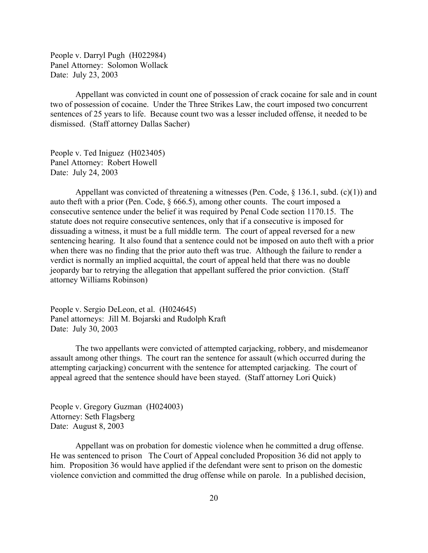People v. Darryl Pugh (H022984) Panel Attorney: Solomon Wollack Date: July 23, 2003

Appellant was convicted in count one of possession of crack cocaine for sale and in count two of possession of cocaine. Under the Three Strikes Law, the court imposed two concurrent sentences of 25 years to life. Because count two was a lesser included offense, it needed to be dismissed. (Staff attorney Dallas Sacher)

People v. Ted Iniguez (H023405) Panel Attorney: Robert Howell Date: July 24, 2003

Appellant was convicted of threatening a witnesses (Pen. Code, § 136.1, subd. (c)(1)) and auto theft with a prior (Pen. Code, § 666.5), among other counts. The court imposed a consecutive sentence under the belief it was required by Penal Code section 1170.15. The statute does not require consecutive sentences, only that if a consecutive is imposed for dissuading a witness, it must be a full middle term. The court of appeal reversed for a new sentencing hearing. It also found that a sentence could not be imposed on auto theft with a prior when there was no finding that the prior auto theft was true. Although the failure to render a verdict is normally an implied acquittal, the court of appeal held that there was no double jeopardy bar to retrying the allegation that appellant suffered the prior conviction. (Staff attorney Williams Robinson)

People v. Sergio DeLeon, et al. (H024645) Panel attorneys: Jill M. Bojarski and Rudolph Kraft Date: July 30, 2003

The two appellants were convicted of attempted carjacking, robbery, and misdemeanor assault among other things. The court ran the sentence for assault (which occurred during the attempting carjacking) concurrent with the sentence for attempted carjacking. The court of appeal agreed that the sentence should have been stayed. (Staff attorney Lori Quick)

People v. Gregory Guzman (H024003) Attorney: Seth Flagsberg Date: August 8, 2003

Appellant was on probation for domestic violence when he committed a drug offense. He was sentenced to prison The Court of Appeal concluded Proposition 36 did not apply to him. Proposition 36 would have applied if the defendant were sent to prison on the domestic violence conviction and committed the drug offense while on parole. In a published decision,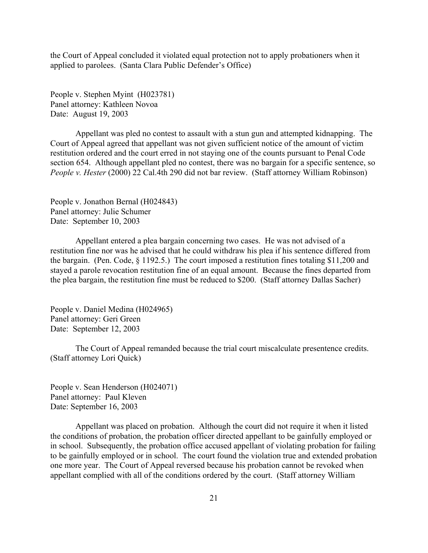the Court of Appeal concluded it violated equal protection not to apply probationers when it applied to parolees. (Santa Clara Public Defender's Office)

People v. Stephen Myint (H023781) Panel attorney: Kathleen Novoa Date: August 19, 2003

Appellant was pled no contest to assault with a stun gun and attempted kidnapping. The Court of Appeal agreed that appellant was not given sufficient notice of the amount of victim restitution ordered and the court erred in not staying one of the counts pursuant to Penal Code section 654. Although appellant pled no contest, there was no bargain for a specific sentence, so *People v. Hester* (2000) 22 Cal.4th 290 did not bar review. (Staff attorney William Robinson)

People v. Jonathon Bernal (H024843) Panel attorney: Julie Schumer Date: September 10, 2003

Appellant entered a plea bargain concerning two cases. He was not advised of a restitution fine nor was he advised that he could withdraw his plea if his sentence differed from the bargain. (Pen. Code, § 1192.5.) The court imposed a restitution fines totaling \$11,200 and stayed a parole revocation restitution fine of an equal amount. Because the fines departed from the plea bargain, the restitution fine must be reduced to \$200. (Staff attorney Dallas Sacher)

People v. Daniel Medina (H024965) Panel attorney: Geri Green Date: September 12, 2003

The Court of Appeal remanded because the trial court miscalculate presentence credits. (Staff attorney Lori Quick)

People v. Sean Henderson (H024071) Panel attorney: Paul Kleven Date: September 16, 2003

Appellant was placed on probation. Although the court did not require it when it listed the conditions of probation, the probation officer directed appellant to be gainfully employed or in school. Subsequently, the probation office accused appellant of violating probation for failing to be gainfully employed or in school. The court found the violation true and extended probation one more year. The Court of Appeal reversed because his probation cannot be revoked when appellant complied with all of the conditions ordered by the court. (Staff attorney William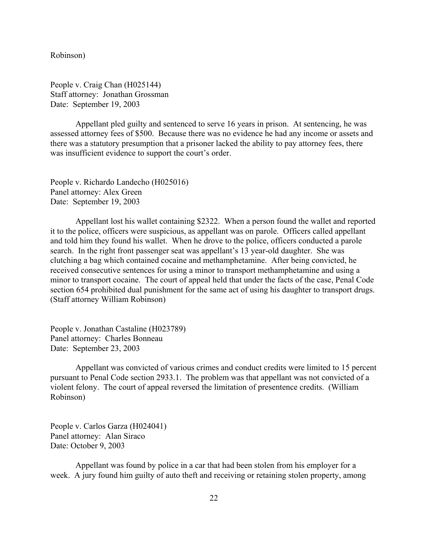Robinson)

People v. Craig Chan (H025144) Staff attorney: Jonathan Grossman Date: September 19, 2003

Appellant pled guilty and sentenced to serve 16 years in prison. At sentencing, he was assessed attorney fees of \$500. Because there was no evidence he had any income or assets and there was a statutory presumption that a prisoner lacked the ability to pay attorney fees, there was insufficient evidence to support the court's order.

People v. Richardo Landecho (H025016) Panel attorney: Alex Green Date: September 19, 2003

Appellant lost his wallet containing \$2322. When a person found the wallet and reported it to the police, officers were suspicious, as appellant was on parole. Officers called appellant and told him they found his wallet. When he drove to the police, officers conducted a parole search. In the right front passenger seat was appellant's 13 year-old daughter. She was clutching a bag which contained cocaine and methamphetamine. After being convicted, he received consecutive sentences for using a minor to transport methamphetamine and using a minor to transport cocaine. The court of appeal held that under the facts of the case, Penal Code section 654 prohibited dual punishment for the same act of using his daughter to transport drugs. (Staff attorney William Robinson)

People v. Jonathan Castaline (H023789) Panel attorney: Charles Bonneau Date: September 23, 2003

Appellant was convicted of various crimes and conduct credits were limited to 15 percent pursuant to Penal Code section 2933.1. The problem was that appellant was not convicted of a violent felony. The court of appeal reversed the limitation of presentence credits. (William Robinson)

People v. Carlos Garza (H024041) Panel attorney: Alan Siraco Date: October 9, 2003

Appellant was found by police in a car that had been stolen from his employer for a week. A jury found him guilty of auto theft and receiving or retaining stolen property, among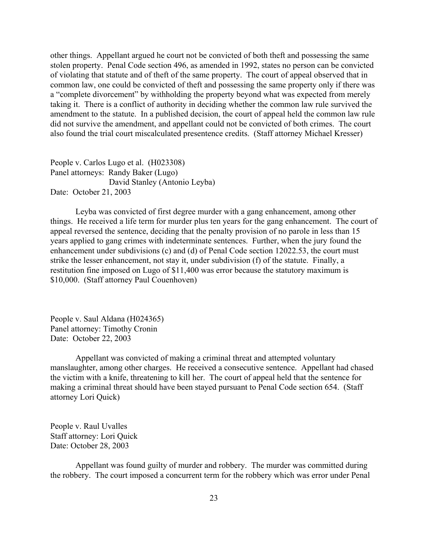other things. Appellant argued he court not be convicted of both theft and possessing the same stolen property. Penal Code section 496, as amended in 1992, states no person can be convicted of violating that statute and of theft of the same property. The court of appeal observed that in common law, one could be convicted of theft and possessing the same property only if there was a "complete divorcement" by withholding the property beyond what was expected from merely taking it. There is a conflict of authority in deciding whether the common law rule survived the amendment to the statute. In a published decision, the court of appeal held the common law rule did not survive the amendment, and appellant could not be convicted of both crimes. The court also found the trial court miscalculated presentence credits. (Staff attorney Michael Kresser)

People v. Carlos Lugo et al. (H023308) Panel attorneys: Randy Baker (Lugo) David Stanley (Antonio Leyba) Date: October 21, 2003

Leyba was convicted of first degree murder with a gang enhancement, among other things. He received a life term for murder plus ten years for the gang enhancement. The court of appeal reversed the sentence, deciding that the penalty provision of no parole in less than 15 years applied to gang crimes with indeterminate sentences. Further, when the jury found the enhancement under subdivisions (c) and (d) of Penal Code section 12022.53, the court must strike the lesser enhancement, not stay it, under subdivision (f) of the statute. Finally, a restitution fine imposed on Lugo of \$11,400 was error because the statutory maximum is \$10,000. (Staff attorney Paul Couenhoven)

People v. Saul Aldana (H024365) Panel attorney: Timothy Cronin Date: October 22, 2003

Appellant was convicted of making a criminal threat and attempted voluntary manslaughter, among other charges. He received a consecutive sentence. Appellant had chased the victim with a knife, threatening to kill her. The court of appeal held that the sentence for making a criminal threat should have been stayed pursuant to Penal Code section 654. (Staff attorney Lori Quick)

People v. Raul Uvalles Staff attorney: Lori Quick Date: October 28, 2003

Appellant was found guilty of murder and robbery. The murder was committed during the robbery. The court imposed a concurrent term for the robbery which was error under Penal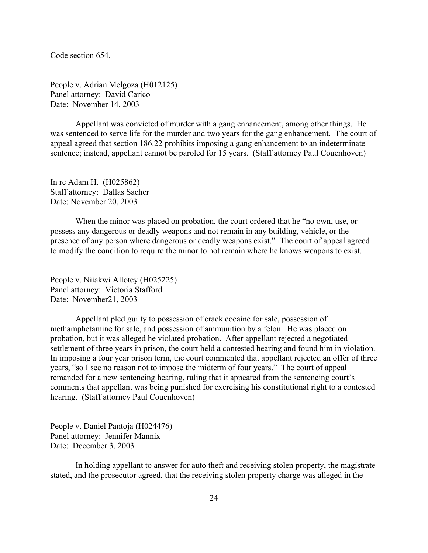Code section 654.

People v. Adrian Melgoza (H012125) Panel attorney: David Carico Date: November 14, 2003

Appellant was convicted of murder with a gang enhancement, among other things. He was sentenced to serve life for the murder and two years for the gang enhancement. The court of appeal agreed that section 186.22 prohibits imposing a gang enhancement to an indeterminate sentence; instead, appellant cannot be paroled for 15 years. (Staff attorney Paul Couenhoven)

In re Adam H. (H025862) Staff attorney: Dallas Sacher Date: November 20, 2003

When the minor was placed on probation, the court ordered that he "no own, use, or possess any dangerous or deadly weapons and not remain in any building, vehicle, or the presence of any person where dangerous or deadly weapons exist." The court of appeal agreed to modify the condition to require the minor to not remain where he knows weapons to exist.

People v. Niiakwi Allotey (H025225) Panel attorney: Victoria Stafford Date: November21, 2003

Appellant pled guilty to possession of crack cocaine for sale, possession of methamphetamine for sale, and possession of ammunition by a felon. He was placed on probation, but it was alleged he violated probation. After appellant rejected a negotiated settlement of three years in prison, the court held a contested hearing and found him in violation. In imposing a four year prison term, the court commented that appellant rejected an offer of three years, "so I see no reason not to impose the midterm of four years." The court of appeal remanded for a new sentencing hearing, ruling that it appeared from the sentencing court's comments that appellant was being punished for exercising his constitutional right to a contested hearing. (Staff attorney Paul Couenhoven)

People v. Daniel Pantoja (H024476) Panel attorney: Jennifer Mannix Date: December 3, 2003

In holding appellant to answer for auto theft and receiving stolen property, the magistrate stated, and the prosecutor agreed, that the receiving stolen property charge was alleged in the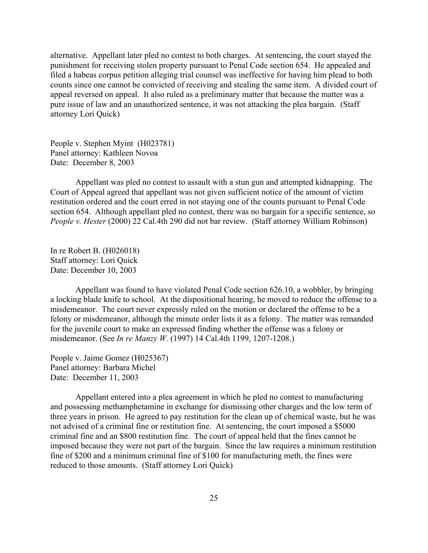alternative. Appellant later pled no contest to both charges. At sentencing, the court stayed the punishment for receiving stolen property pursuant to Penal Code section 654. He appealed and filed a habeas corpus petition alleging trial counsel was ineffective for having him plead to both counts since one cannot be convicted of receiving and stealing the same item. A divided court of appeal reversed on appeal. It also ruled as a preliminary matter that because the matter was a pure issue of law and an unauthorized sentence, it was not attacking the plea bargain. (Staff attorney Lori Quick)

People v. Stephen Myint (H023781) Panel attorney: Kathleen Novoa Date: December 8, 2003

Appellant was pled no contest to assault with a stun gun and attempted kidnapping. The Court of Appeal agreed that appellant was not given sufficient notice of the amount of victim restitution ordered and the court erred in not staying one of the counts pursuant to Penal Code section 654. Although appellant pled no contest, there was no bargain for a specific sentence, so *People v. Hester* (2000) 22 Cal.4th 290 did not bar review. (Staff attorney William Robinson)

In re Robert B. (H026018) Staff attorney: Lori Quick Date: December 10, 2003

Appellant was found to have violated Penal Code section 626.10, a wobbler, by bringing a locking blade knife to school. At the dispositional hearing, he moved to reduce the offense to a misdemeanor. The court never expressly ruled on the motion or declared the offense to be a felony or misdemeanor, although the minute order lists it as a felony. The matter was remanded for the juvenile court to make an expressed finding whether the offense was a felony or misdemeanor. (See *In re Manzy W.* (1997) 14 Cal.4th 1199, 1207-1208.)

People v. Jaime Gomez (H025367) Panel attorney: Barbara Michel Date: December 11, 2003

Appellant entered into a plea agreement in which he pled no contest to manufacturing and possessing methamphetamine in exchange for dismissing other charges and the low term of three years in prison. He agreed to pay restitution for the clean up of chemical waste, but he was not advised of a criminal fine or restitution fine. At sentencing, the court imposed a \$5000 criminal fine and an \$800 restitution fine. The court of appeal held that the fines cannot be imposed because they were not part of the bargain. Since the law requires a minimum restitution fine of \$200 and a minimum criminal fine of \$100 for manufacturing meth, the fines were reduced to those amounts. (Staff attorney Lori Quick)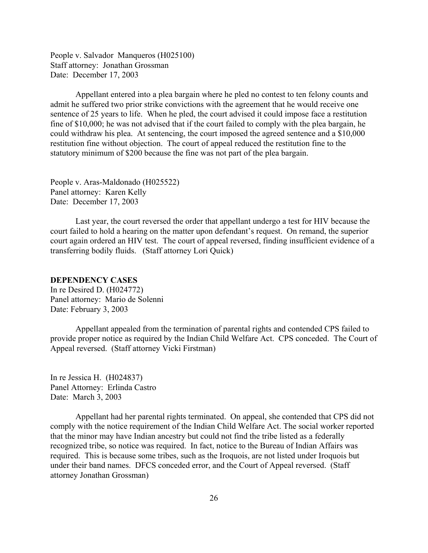<span id="page-25-0"></span>People v. Salvador Manqueros (H025100) Staff attorney: Jonathan Grossman Date: December 17, 2003

Appellant entered into a plea bargain where he pled no contest to ten felony counts and admit he suffered two prior strike convictions with the agreement that he would receive one sentence of 25 years to life. When he pled, the court advised it could impose face a restitution fine of \$10,000; he was not advised that if the court failed to comply with the plea bargain, he could withdraw his plea. At sentencing, the court imposed the agreed sentence and a \$10,000 restitution fine without objection. The court of appeal reduced the restitution fine to the statutory minimum of \$200 because the fine was not part of the plea bargain.

People v. Aras-Maldonado (H025522) Panel attorney: Karen Kelly Date: December 17, 2003

Last year, the court reversed the order that appellant undergo a test for HIV because the court failed to hold a hearing on the matter upon defendant's request. On remand, the superior court again ordered an HIV test. The court of appeal reversed, finding insufficient evidence of a transferring bodily fluids. (Staff attorney Lori Quick)

## **DEPENDENCY CASES**

In re Desired D. (H024772) Panel attorney: Mario de Solenni Date: February 3, 2003

Appellant appealed from the termination of parental rights and contended CPS failed to provide proper notice as required by the Indian Child Welfare Act. CPS conceded. The Court of Appeal reversed. (Staff attorney Vicki Firstman)

In re Jessica H. (H024837) Panel Attorney: Erlinda Castro Date: March 3, 2003

Appellant had her parental rights terminated. On appeal, she contended that CPS did not comply with the notice requirement of the Indian Child Welfare Act. The social worker reported that the minor may have Indian ancestry but could not find the tribe listed as a federally recognized tribe, so notice was required. In fact, notice to the Bureau of Indian Affairs was required. This is because some tribes, such as the Iroquois, are not listed under Iroquois but under their band names. DFCS conceded error, and the Court of Appeal reversed. (Staff attorney Jonathan Grossman)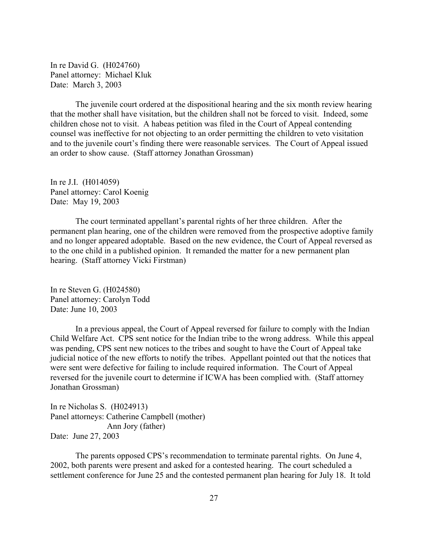In re David G. (H024760) Panel attorney: Michael Kluk Date: March 3, 2003

The juvenile court ordered at the dispositional hearing and the six month review hearing that the mother shall have visitation, but the children shall not be forced to visit. Indeed, some children chose not to visit. A habeas petition was filed in the Court of Appeal contending counsel was ineffective for not objecting to an order permitting the children to veto visitation and to the juvenile court's finding there were reasonable services. The Court of Appeal issued an order to show cause. (Staff attorney Jonathan Grossman)

In re J.I. (H014059) Panel attorney: Carol Koenig Date: May 19, 2003

The court terminated appellant's parental rights of her three children. After the permanent plan hearing, one of the children were removed from the prospective adoptive family and no longer appeared adoptable. Based on the new evidence, the Court of Appeal reversed as to the one child in a published opinion. It remanded the matter for a new permanent plan hearing. (Staff attorney Vicki Firstman)

In re Steven G. (H024580) Panel attorney: Carolyn Todd Date: June 10, 2003

In a previous appeal, the Court of Appeal reversed for failure to comply with the Indian Child Welfare Act. CPS sent notice for the Indian tribe to the wrong address. While this appeal was pending, CPS sent new notices to the tribes and sought to have the Court of Appeal take judicial notice of the new efforts to notify the tribes. Appellant pointed out that the notices that were sent were defective for failing to include required information. The Court of Appeal reversed for the juvenile court to determine if ICWA has been complied with. (Staff attorney Jonathan Grossman)

In re Nicholas S. (H024913) Panel attorneys: Catherine Campbell (mother) Ann Jory (father) Date: June 27, 2003

The parents opposed CPS's recommendation to terminate parental rights. On June 4, 2002, both parents were present and asked for a contested hearing. The court scheduled a settlement conference for June 25 and the contested permanent plan hearing for July 18. It told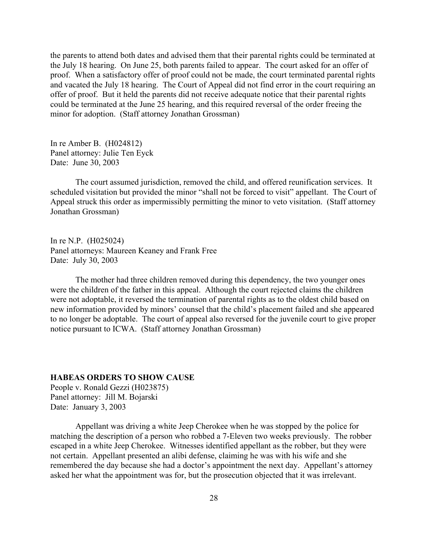<span id="page-27-0"></span>the parents to attend both dates and advised them that their parental rights could be terminated at the July 18 hearing. On June 25, both parents failed to appear. The court asked for an offer of proof. When a satisfactory offer of proof could not be made, the court terminated parental rights and vacated the July 18 hearing. The Court of Appeal did not find error in the court requiring an offer of proof. But it held the parents did not receive adequate notice that their parental rights could be terminated at the June 25 hearing, and this required reversal of the order freeing the minor for adoption. (Staff attorney Jonathan Grossman)

In re Amber B. (H024812) Panel attorney: Julie Ten Eyck Date: June 30, 2003

The court assumed jurisdiction, removed the child, and offered reunification services. It scheduled visitation but provided the minor "shall not be forced to visit" appellant. The Court of Appeal struck this order as impermissibly permitting the minor to veto visitation. (Staff attorney Jonathan Grossman)

In re N.P. (H025024) Panel attorneys: Maureen Keaney and Frank Free Date: July 30, 2003

The mother had three children removed during this dependency, the two younger ones were the children of the father in this appeal. Although the court rejected claims the children were not adoptable, it reversed the termination of parental rights as to the oldest child based on new information provided by minors' counsel that the child's placement failed and she appeared to no longer be adoptable. The court of appeal also reversed for the juvenile court to give proper notice pursuant to ICWA. (Staff attorney Jonathan Grossman)

## **HABEAS ORDERS TO SHOW CAUSE**

People v. Ronald Gezzi (H023875) Panel attorney: Jill M. Bojarski Date: January 3, 2003

Appellant was driving a white Jeep Cherokee when he was stopped by the police for matching the description of a person who robbed a 7-Eleven two weeks previously. The robber escaped in a white Jeep Cherokee. Witnesses identified appellant as the robber, but they were not certain. Appellant presented an alibi defense, claiming he was with his wife and she remembered the day because she had a doctor's appointment the next day. Appellant's attorney asked her what the appointment was for, but the prosecution objected that it was irrelevant.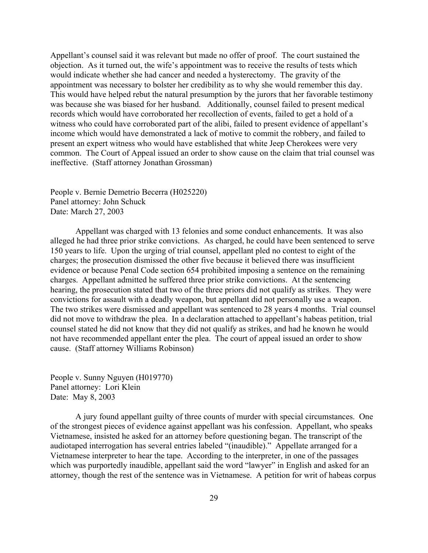Appellant's counsel said it was relevant but made no offer of proof. The court sustained the objection. As it turned out, the wife's appointment was to receive the results of tests which would indicate whether she had cancer and needed a hysterectomy. The gravity of the appointment was necessary to bolster her credibility as to why she would remember this day. This would have helped rebut the natural presumption by the jurors that her favorable testimony was because she was biased for her husband. Additionally, counsel failed to present medical records which would have corroborated her recollection of events, failed to get a hold of a witness who could have corroborated part of the alibi, failed to present evidence of appellant's income which would have demonstrated a lack of motive to commit the robbery, and failed to present an expert witness who would have established that white Jeep Cherokees were very common. The Court of Appeal issued an order to show cause on the claim that trial counsel was ineffective. (Staff attorney Jonathan Grossman)

People v. Bernie Demetrio Becerra (H025220) Panel attorney: John Schuck Date: March 27, 2003

Appellant was charged with 13 felonies and some conduct enhancements. It was also alleged he had three prior strike convictions. As charged, he could have been sentenced to serve 150 years to life. Upon the urging of trial counsel, appellant pled no contest to eight of the charges; the prosecution dismissed the other five because it believed there was insufficient evidence or because Penal Code section 654 prohibited imposing a sentence on the remaining charges. Appellant admitted he suffered three prior strike convictions. At the sentencing hearing, the prosecution stated that two of the three priors did not qualify as strikes. They were convictions for assault with a deadly weapon, but appellant did not personally use a weapon. The two strikes were dismissed and appellant was sentenced to 28 years 4 months. Trial counsel did not move to withdraw the plea. In a declaration attached to appellant's habeas petition, trial counsel stated he did not know that they did not qualify as strikes, and had he known he would not have recommended appellant enter the plea. The court of appeal issued an order to show cause. (Staff attorney Williams Robinson)

People v. Sunny Nguyen (H019770) Panel attorney: Lori Klein Date: May 8, 2003

A jury found appellant guilty of three counts of murder with special circumstances. One of the strongest pieces of evidence against appellant was his confession. Appellant, who speaks Vietnamese, insisted he asked for an attorney before questioning began. The transcript of the audiotaped interrogation has several entries labeled "(inaudible)." Appellate arranged for a Vietnamese interpreter to hear the tape. According to the interpreter, in one of the passages which was purportedly inaudible, appellant said the word "lawyer" in English and asked for an attorney, though the rest of the sentence was in Vietnamese. A petition for writ of habeas corpus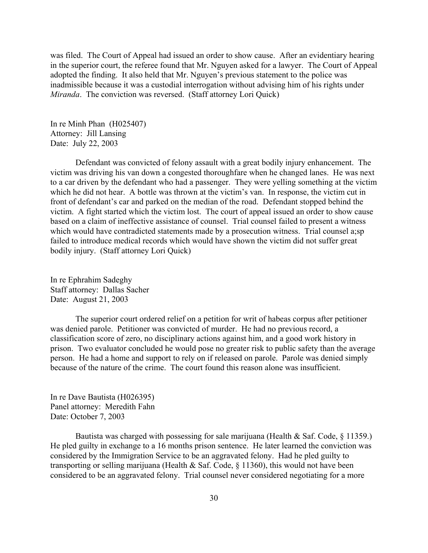was filed. The Court of Appeal had issued an order to show cause. After an evidentiary hearing in the superior court, the referee found that Mr. Nguyen asked for a lawyer. The Court of Appeal adopted the finding. It also held that Mr. Nguyen's previous statement to the police was inadmissible because it was a custodial interrogation without advising him of his rights under *Miranda*. The conviction was reversed. (Staff attorney Lori Quick)

In re Minh Phan (H025407) Attorney: Jill Lansing Date: July 22, 2003

Defendant was convicted of felony assault with a great bodily injury enhancement. The victim was driving his van down a congested thoroughfare when he changed lanes. He was next to a car driven by the defendant who had a passenger. They were yelling something at the victim which he did not hear. A bottle was thrown at the victim's van. In response, the victim cut in front of defendant's car and parked on the median of the road. Defendant stopped behind the victim. A fight started which the victim lost. The court of appeal issued an order to show cause based on a claim of ineffective assistance of counsel. Trial counsel failed to present a witness which would have contradicted statements made by a prosecution witness. Trial counsel a; sp failed to introduce medical records which would have shown the victim did not suffer great bodily injury. (Staff attorney Lori Quick)

In re Ephrahim Sadeghy Staff attorney: Dallas Sacher Date: August 21, 2003

The superior court ordered relief on a petition for writ of habeas corpus after petitioner was denied parole. Petitioner was convicted of murder. He had no previous record, a classification score of zero, no disciplinary actions against him, and a good work history in prison. Two evaluator concluded he would pose no greater risk to public safety than the average person. He had a home and support to rely on if released on parole. Parole was denied simply because of the nature of the crime. The court found this reason alone was insufficient.

In re Dave Bautista (H026395) Panel attorney: Meredith Fahn Date: October 7, 2003

Bautista was charged with possessing for sale marijuana (Health & Saf. Code,  $\S$  11359.) He pled guilty in exchange to a 16 months prison sentence. He later learned the conviction was considered by the Immigration Service to be an aggravated felony. Had he pled guilty to transporting or selling marijuana (Health & Saf. Code, § 11360), this would not have been considered to be an aggravated felony. Trial counsel never considered negotiating for a more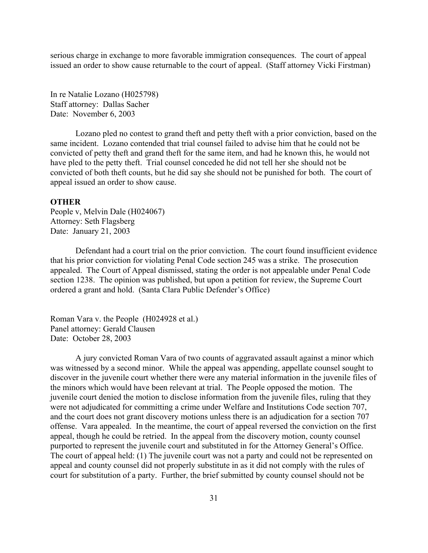<span id="page-30-0"></span>serious charge in exchange to more favorable immigration consequences. The court of appeal issued an order to show cause returnable to the court of appeal. (Staff attorney Vicki Firstman)

In re Natalie Lozano (H025798) Staff attorney: Dallas Sacher Date: November 6, 2003

Lozano pled no contest to grand theft and petty theft with a prior conviction, based on the same incident. Lozano contended that trial counsel failed to advise him that he could not be convicted of petty theft and grand theft for the same item, and had he known this, he would not have pled to the petty theft. Trial counsel conceded he did not tell her she should not be convicted of both theft counts, but he did say she should not be punished for both. The court of appeal issued an order to show cause.

#### **OTHER**

People v, Melvin Dale (H024067) Attorney: Seth Flagsberg Date: January 21, 2003

Defendant had a court trial on the prior conviction. The court found insufficient evidence that his prior conviction for violating Penal Code section 245 was a strike. The prosecution appealed. The Court of Appeal dismissed, stating the order is not appealable under Penal Code section 1238. The opinion was published, but upon a petition for review, the Supreme Court ordered a grant and hold. (Santa Clara Public Defender's Office)

Roman Vara v. the People (H024928 et al.) Panel attorney: Gerald Clausen Date: October 28, 2003

A jury convicted Roman Vara of two counts of aggravated assault against a minor which was witnessed by a second minor. While the appeal was appending, appellate counsel sought to discover in the juvenile court whether there were any material information in the juvenile files of the minors which would have been relevant at trial. The People opposed the motion. The juvenile court denied the motion to disclose information from the juvenile files, ruling that they were not adjudicated for committing a crime under Welfare and Institutions Code section 707, and the court does not grant discovery motions unless there is an adjudication for a section 707 offense. Vara appealed. In the meantime, the court of appeal reversed the conviction on the first appeal, though he could be retried. In the appeal from the discovery motion, county counsel purported to represent the juvenile court and substituted in for the Attorney General's Office. The court of appeal held: (1) The juvenile court was not a party and could not be represented on appeal and county counsel did not properly substitute in as it did not comply with the rules of court for substitution of a party. Further, the brief submitted by county counsel should not be